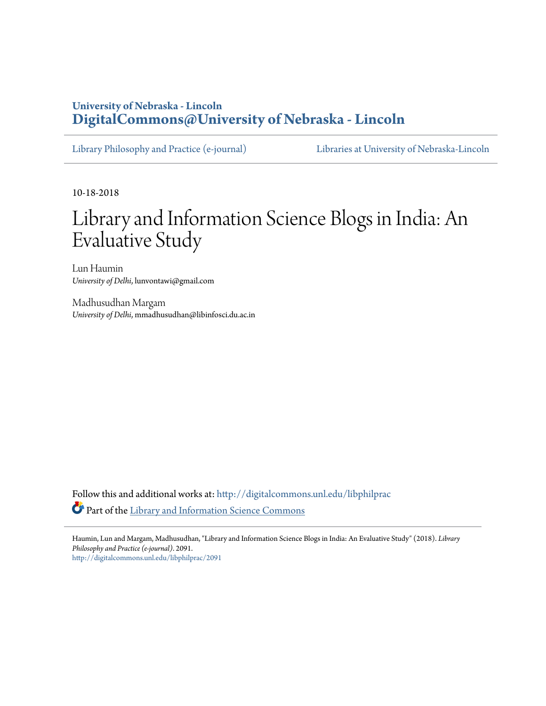## **University of Nebraska - Lincoln [DigitalCommons@University of Nebraska - Lincoln](http://digitalcommons.unl.edu?utm_source=digitalcommons.unl.edu%2Flibphilprac%2F2091&utm_medium=PDF&utm_campaign=PDFCoverPages)**

[Library Philosophy and Practice \(e-journal\)](http://digitalcommons.unl.edu/libphilprac?utm_source=digitalcommons.unl.edu%2Flibphilprac%2F2091&utm_medium=PDF&utm_campaign=PDFCoverPages) [Libraries at University of Nebraska-Lincoln](http://digitalcommons.unl.edu/libraries?utm_source=digitalcommons.unl.edu%2Flibphilprac%2F2091&utm_medium=PDF&utm_campaign=PDFCoverPages)

10-18-2018

# Library and Information Science Blogs in India: An Evaluative Study

Lun Haumin *University of Delhi*, lunvontawi@gmail.com

Madhusudhan Margam *University of Delhi*, mmadhusudhan@libinfosci.du.ac.in

Follow this and additional works at: [http://digitalcommons.unl.edu/libphilprac](http://digitalcommons.unl.edu/libphilprac?utm_source=digitalcommons.unl.edu%2Flibphilprac%2F2091&utm_medium=PDF&utm_campaign=PDFCoverPages) Part of the [Library and Information Science Commons](http://network.bepress.com/hgg/discipline/1018?utm_source=digitalcommons.unl.edu%2Flibphilprac%2F2091&utm_medium=PDF&utm_campaign=PDFCoverPages)

Haumin, Lun and Margam, Madhusudhan, "Library and Information Science Blogs in India: An Evaluative Study" (2018). *Library Philosophy and Practice (e-journal)*. 2091. [http://digitalcommons.unl.edu/libphilprac/2091](http://digitalcommons.unl.edu/libphilprac/2091?utm_source=digitalcommons.unl.edu%2Flibphilprac%2F2091&utm_medium=PDF&utm_campaign=PDFCoverPages)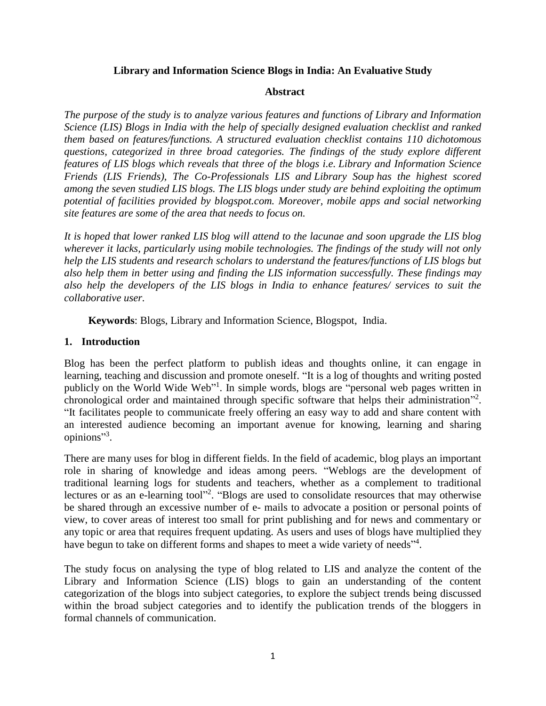## **Library and Information Science Blogs in India: An Evaluative Study**

#### **Abstract**

*The purpose of the study is to analyze various features and functions of Library and Information Science (LIS) Blogs in India with the help of specially designed evaluation checklist and ranked them based on features/functions. A structured evaluation checklist contains 110 dichotomous questions, categorized in three broad categories. The findings of the study explore different features of LIS blogs which reveals that three of the blogs i.e. Library and Information Science Friends (LIS Friends), The Co-Professionals LIS and Library Soup has the highest scored among the seven studied LIS blogs. The LIS blogs under study are behind exploiting the optimum potential of facilities provided by blogspot.com. Moreover, mobile apps and social networking site features are some of the area that needs to focus on.*

*It is hoped that lower ranked LIS blog will attend to the lacunae and soon upgrade the LIS blog wherever it lacks, particularly using mobile technologies. The findings of the study will not only help the LIS students and research scholars to understand the features/functions of LIS blogs but also help them in better using and finding the LIS information successfully. These findings may also help the developers of the LIS blogs in India to enhance features/ services to suit the collaborative user.*

**Keywords**: Blogs, Library and Information Science, Blogspot, India.

#### **1. Introduction**

Blog has been the perfect platform to publish ideas and thoughts online, it can engage in learning, teaching and discussion and promote oneself. "It is a log of thoughts and writing posted publicly on the World Wide Web<sup>"</sup>. In simple words, blogs are "personal web pages written in chronological order and maintained through specific software that helps their administration"<sup>2</sup>. "It facilitates people to communicate freely offering an easy way to add and share content with an interested audience becoming an important avenue for knowing, learning and sharing opinions"<sup>3</sup>.

There are many uses for blog in different fields. In the field of academic, blog plays an important role in sharing of knowledge and ideas among peers. "Weblogs are the development of traditional learning logs for students and teachers, whether as a complement to traditional lectures or as an e-learning tool"<sup>2</sup>. "Blogs are used to consolidate resources that may otherwise be shared through an excessive number of e- mails to advocate a position or personal points of view, to cover areas of interest too small for print publishing and for news and commentary or any topic or area that requires frequent updating. As users and uses of blogs have multiplied they have begun to take on different forms and shapes to meet a wide variety of needs"<sup>4</sup>.

The study focus on analysing the type of blog related to LIS and analyze the content of the Library and Information Science (LIS) blogs to gain an understanding of the content categorization of the blogs into subject categories, to explore the subject trends being discussed within the broad subject categories and to identify the publication trends of the bloggers in formal channels of communication.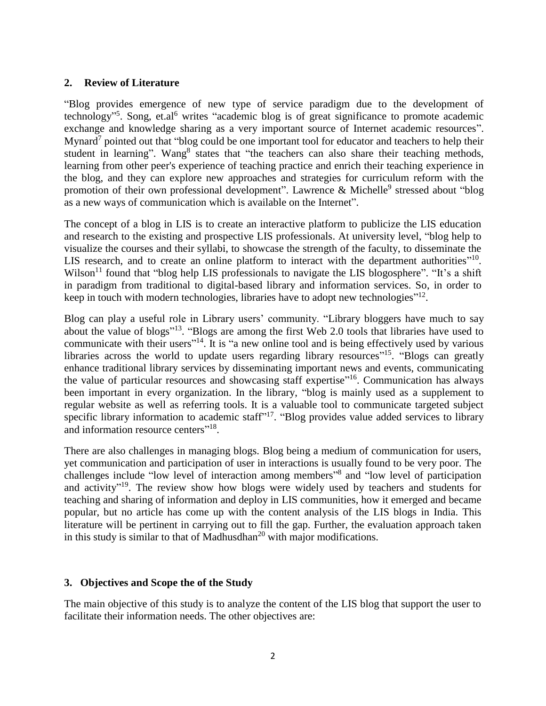#### **2. Review of Literature**

"Blog provides emergence of new type of service paradigm due to the development of technology"<sup>5</sup>. Song, et.al<sup>6</sup> writes "academic blog is of great significance to promote academic exchange and knowledge sharing as a very important source of Internet academic resources". Mynard<sup>7</sup> pointed out that "blog could be one important tool for educator and teachers to help their student in learning". Wang<sup>8</sup> states that "the teachers can also share their teaching methods, learning from other peer's experience of teaching practice and enrich their teaching experience in the blog, and they can explore new approaches and strategies for curriculum reform with the promotion of their own professional development". Lawrence & Michelle<sup>9</sup> stressed about "blog as a new ways of communication which is available on the Internet".

The concept of a blog in LIS is to create an interactive platform to publicize the LIS education and research to the existing and prospective LIS professionals. At university level, "blog help to visualize the courses and their syllabi, to showcase the strength of the faculty, to disseminate the LIS research, and to create an online platform to interact with the department authorities $10$ . Wilson<sup>11</sup> found that "blog help LIS professionals to navigate the LIS blogosphere". "It's a shift in paradigm from traditional to digital-based library and information services. So, in order to keep in touch with modern technologies, libraries have to adopt new technologies"<sup>12</sup>.

Blog can play a useful role in Library users' community. "Library bloggers have much to say about the value of blogs"<sup>13</sup>. "Blogs are among the first Web 2.0 tools that libraries have used to communicate with their users<sup>"14</sup>. It is "a new online tool and is being effectively used by various libraries across the world to update users regarding library resources<sup>"15</sup>. "Blogs can greatly enhance traditional library services by disseminating important news and events, communicating the value of particular resources and showcasing staff expertise"<sup>16</sup>. Communication has always been important in every organization. In the library, "blog is mainly used as a supplement to regular website as well as referring tools. It is a valuable tool to communicate targeted subject specific library information to academic staff $17$ . "Blog provides value added services to library and information resource centers"<sup>18</sup>.

There are also challenges in managing blogs. Blog being a medium of communication for users, yet communication and participation of user in interactions is usually found to be very poor. The challenges include "low level of interaction among members"<sup>8</sup> and "low level of participation and activity"<sup>19</sup>. The review show how blogs were widely used by teachers and students for teaching and sharing of information and deploy in LIS communities, how it emerged and became popular, but no article has come up with the content analysis of the LIS blogs in India. This literature will be pertinent in carrying out to fill the gap. Further, the evaluation approach taken in this study is similar to that of Madhusdhan<sup>20</sup> with major modifications.

### **3. Objectives and Scope the of the Study**

The main objective of this study is to analyze the content of the LIS blog that support the user to facilitate their information needs. The other objectives are: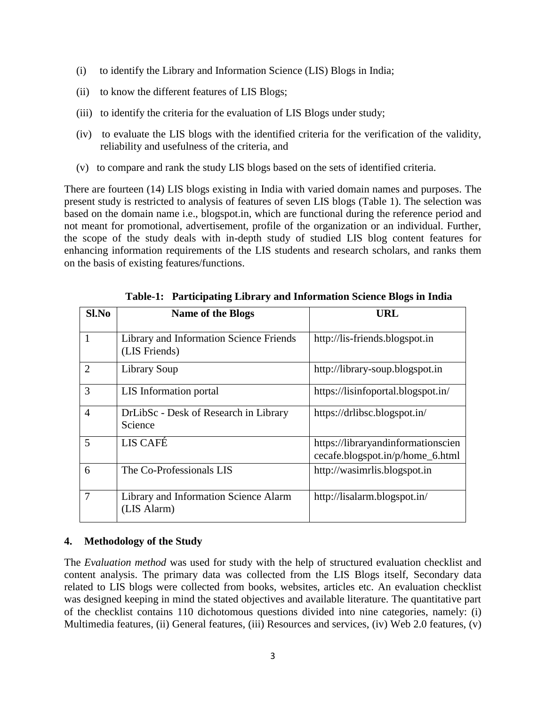- (i) to identify the Library and Information Science (LIS) Blogs in India;
- (ii) to know the different features of LIS Blogs;
- (iii) to identify the criteria for the evaluation of LIS Blogs under study;
- (iv) to evaluate the LIS blogs with the identified criteria for the verification of the validity, reliability and usefulness of the criteria, and
- (v) to compare and rank the study LIS blogs based on the sets of identified criteria.

There are fourteen (14) LIS blogs existing in India with varied domain names and purposes. The present study is restricted to analysis of features of seven LIS blogs (Table 1). The selection was based on the domain name i.e., blogspot.in, which are functional during the reference period and not meant for promotional, advertisement, profile of the organization or an individual. Further, the scope of the study deals with in-depth study of studied LIS blog content features for enhancing information requirements of the LIS students and research scholars, and ranks them on the basis of existing features/functions.

| Sl.No          | <b>Name of the Blogs</b>                                 | <b>URL</b>                                                             |
|----------------|----------------------------------------------------------|------------------------------------------------------------------------|
|                | Library and Information Science Friends<br>(LIS Friends) | http://lis-friends.blogspot.in                                         |
| $\overline{2}$ | Library Soup                                             | http://library-soup.blogspot.in                                        |
| 3              | LIS Information portal                                   | https://lisinfoportal.blogspot.in/                                     |
| 4              | DrLibSc - Desk of Research in Library<br>Science         | https://drlibsc.blogspot.in/                                           |
| 5              | LIS CAFÉ                                                 | https://libraryandinformationscien<br>cecafe.blogspot.in/p/home_6.html |
| 6              | The Co-Professionals LIS                                 | http://wasimrlis.blogspot.in                                           |
| $\overline{7}$ | Library and Information Science Alarm<br>(LIS Alarm)     | http://lisalarm.blogspot.in/                                           |

**Table-1: Participating Library and Information Science Blogs in India**

## **4. Methodology of the Study**

The *Evaluation method* was used for study with the help of structured evaluation checklist and content analysis. The primary data was collected from the LIS Blogs itself, Secondary data related to LIS blogs were collected from books, websites, articles etc. An evaluation checklist was designed keeping in mind the stated objectives and available literature. The quantitative part of the checklist contains 110 dichotomous questions divided into nine categories, namely: (i) Multimedia features, (ii) General features, (iii) Resources and services, (iv) Web 2.0 features, (v)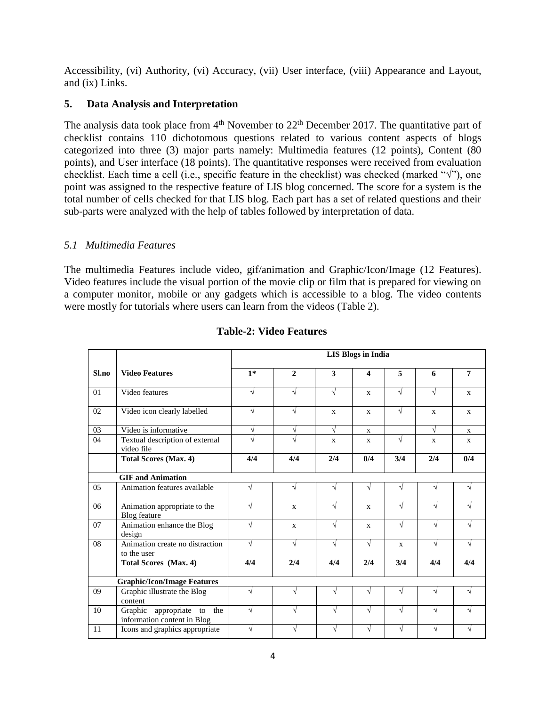Accessibility, (vi) Authority, (vi) Accuracy, (vii) User interface, (viii) Appearance and Layout, and (ix) Links.

## **5. Data Analysis and Interpretation**

The analysis data took place from  $4<sup>th</sup>$  November to  $22<sup>th</sup>$  December 2017. The quantitative part of checklist contains 110 dichotomous questions related to various content aspects of blogs categorized into three (3) major parts namely: Multimedia features (12 points), Content (80 points), and User interface (18 points). The quantitative responses were received from evaluation checklist. Each time a cell (i.e., specific feature in the checklist) was checked (marked " $\sqrt{$ "), one point was assigned to the respective feature of LIS blog concerned. The score for a system is the total number of cells checked for that LIS blog. Each part has a set of related questions and their sub-parts were analyzed with the help of tables followed by interpretation of data.

## *5.1 Multimedia Features*

The multimedia Features include video, gif/animation and Graphic/Icon/Image (12 Features). Video features include the visual portion of the movie clip or film that is prepared for viewing on a computer monitor, mobile or any gadgets which is accessible to a blog. The video contents were mostly for tutorials where users can learn from the videos (Table 2).

|       |                                                              | <b>LIS Blogs in India</b> |                   |              |                       |              |              |                |
|-------|--------------------------------------------------------------|---------------------------|-------------------|--------------|-----------------------|--------------|--------------|----------------|
| Sl.no | <b>Video Features</b>                                        | $1*$                      | $\mathbf{2}$      | 3            | $\boldsymbol{\Delta}$ | 5            | 6            | $\overline{7}$ |
| 01    | Video features                                               | $\sqrt{}$                 | $\sqrt{ }$        | $\sqrt{}$    | $\mathbf{x}$          | $\sqrt{}$    | √            | $\mathbf{x}$   |
| 02    | Video icon clearly labelled                                  | V                         | $\sqrt{ }$        | $\mathbf{x}$ | $\mathbf{x}$          | $\sqrt{}$    | $\mathbf{x}$ | $\mathbf{x}$   |
| 03    | Video is informative                                         | $\sqrt{}$                 | $\sqrt{ }$        | $\sqrt{}$    | $\mathbf{x}$          |              | $\sqrt{ }$   | $\mathbf{x}$   |
| 04    | Textual description of external<br>video file                |                           | $\mathbf{\hat{}}$ | $\mathbf{x}$ | $\mathbf{x}$          | $\sqrt{ }$   | $\mathbf{x}$ | X              |
|       | <b>Total Scores (Max. 4)</b>                                 | 4/4                       | 4/4               | 2/4          | 0/4                   | 3/4          | 2/4          | 0/4            |
|       | <b>GIF</b> and Animation                                     |                           |                   |              |                       |              |              |                |
| 0.5   | Animation features available                                 | $\sqrt{ }$                | $\sqrt{ }$        | $\sqrt{}$    | $\sqrt{ }$            |              | V            | V              |
| 06    | Animation appropriate to the<br>Blog feature                 | $\sqrt{ }$                | $\mathbf{x}$      | $\sqrt{}$    | $\mathbf{x}$          | V            | $\sqrt{ }$   | N              |
| 07    | Animation enhance the Blog<br>design                         | $\sqrt{ }$                | $\mathbf{x}$      | $\sqrt{ }$   | $\mathbf{x}$          | V            | $\sqrt{}$    | $\sqrt{}$      |
| 08    | Animation create no distraction<br>to the user               | $\sqrt{ }$                | $\sqrt{ }$        | $\sqrt{}$    | $\sqrt{ }$            | $\mathbf{x}$ | $\sqrt{ }$   | V              |
|       | Total Scores (Max. 4)                                        | 4/4                       | 2/4               | 4/4          | 2/4                   | 3/4          | 4/4          | 4/4            |
|       | <b>Graphic/Icon/Image Features</b>                           |                           |                   |              |                       |              |              |                |
| 09    | Graphic illustrate the Blog<br>content                       | $\sqrt{ }$                | V                 | V            | N                     |              | V            | N              |
| 10    | Graphic appropriate to<br>the<br>information content in Blog | $\sqrt{ }$                | V                 | $\sqrt{}$    | $\sqrt{ }$            |              | $\sqrt{ }$   | V              |
| 11    | Icons and graphics appropriate                               | $\sqrt{}$                 |                   | V            |                       |              | $\sqrt{ }$   | V              |

## **Table-2: Video Features**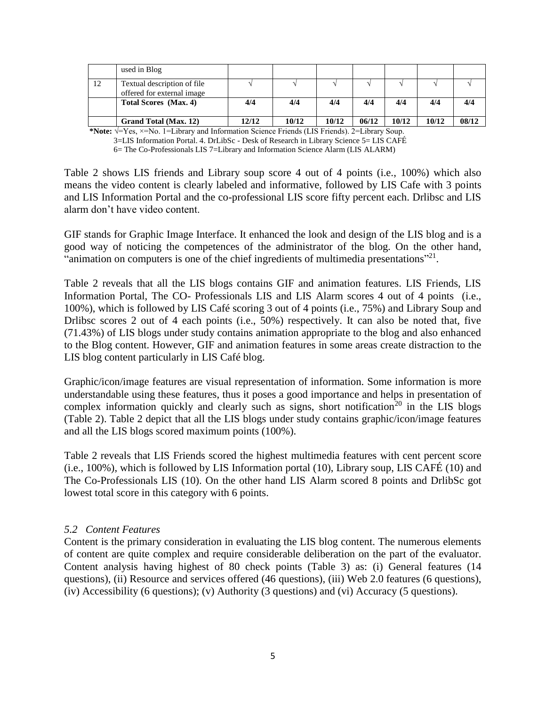|    | used in Blog                                              |       |       |       |       |       |       |       |
|----|-----------------------------------------------------------|-------|-------|-------|-------|-------|-------|-------|
| 12 | Textual description of file<br>offered for external image |       |       |       |       |       |       |       |
|    | Total Scores (Max. 4)                                     | 4/4   | 4/4   | 4/4   | 4/4   | 4/4   | 4/4   | 4/4   |
|    | Grand Total (Max. 12)                                     | 12/12 | 10/12 | 10/12 | 06/12 | 10/12 | 10/12 | 08/12 |

**\*Note:** √=Yes, ×=No. 1=Library and Information Science Friends (LIS Friends). 2=Library Soup. 3=LIS Information Portal. 4. DrLibSc - Desk of Research in Library Science 5= LIS CAFÉ 6= The Co-Professionals LIS 7=Library and Information Science Alarm (LIS ALARM)

Table 2 shows LIS friends and Library soup score 4 out of 4 points (i.e., 100%) which also means the video content is clearly labeled and informative, followed by LIS Cafe with 3 points and LIS Information Portal and the co-professional LIS score fifty percent each. Drlibsc and LIS alarm don't have video content.

GIF stands for Graphic Image Interface. It enhanced the look and design of the LIS blog and is a good way of noticing the competences of the administrator of the blog. On the other hand, "animation on computers is one of the chief ingredients of multimedia presentations"<sup>21</sup>.

Table 2 reveals that all the LIS blogs contains GIF and animation features. LIS Friends, LIS Information Portal, The CO- Professionals LIS and LIS Alarm scores 4 out of 4 points (i.e., 100%), which is followed by LIS Café scoring 3 out of 4 points (i.e., 75%) and Library Soup and Drlibsc scores 2 out of 4 each points (i.e., 50%) respectively. It can also be noted that, five (71.43%) of LIS blogs under study contains animation appropriate to the blog and also enhanced to the Blog content. However, GIF and animation features in some areas create distraction to the LIS blog content particularly in LIS Café blog.

Graphic/icon/image features are visual representation of information. Some information is more understandable using these features, thus it poses a good importance and helps in presentation of complex information quickly and clearly such as signs, short notification<sup>20</sup> in the LIS blogs (Table 2). Table 2 depict that all the LIS blogs under study contains graphic/icon/image features and all the LIS blogs scored maximum points (100%).

Table 2 reveals that LIS Friends scored the highest multimedia features with cent percent score (i.e., 100%), which is followed by LIS Information portal (10), Library soup, LIS CAFÉ (10) and The Co-Professionals LIS (10). On the other hand LIS Alarm scored 8 points and DrlibSc got lowest total score in this category with 6 points.

## *5.2 Content Features*

Content is the primary consideration in evaluating the LIS blog content. The numerous elements of content are quite complex and require considerable deliberation on the part of the evaluator. Content analysis having highest of 80 check points (Table 3) as: (i) General features (14 questions), (ii) Resource and services offered (46 questions), (iii) Web 2.0 features (6 questions), (iv) Accessibility (6 questions); (v) Authority (3 questions) and (vi) Accuracy (5 questions).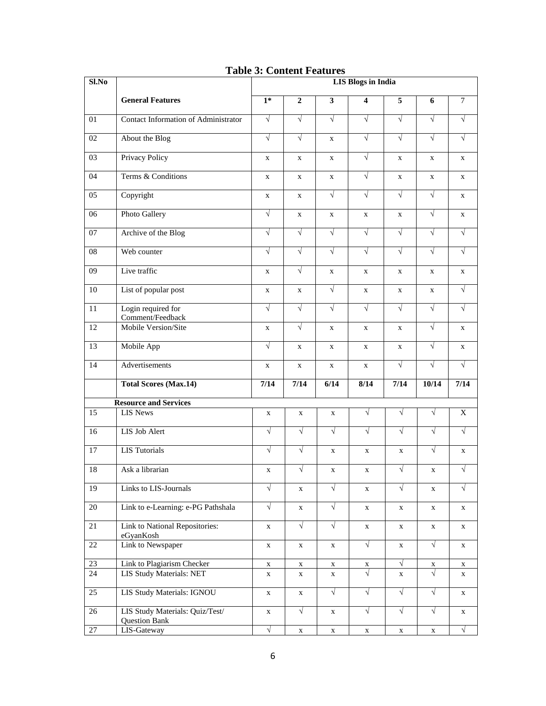| $Sl$ .No        |                                                         | <b>LIS Blogs in India</b> |                |              |                         |             |             |              |
|-----------------|---------------------------------------------------------|---------------------------|----------------|--------------|-------------------------|-------------|-------------|--------------|
|                 | <b>General Features</b>                                 | $1*$                      | $\overline{2}$ | $\mathbf{3}$ | $\overline{\mathbf{4}}$ | 5           | 6           | $\tau$       |
| 01              | Contact Information of Administrator                    | $\sqrt{ }$                | $\sqrt{}$      | $\sqrt{}$    | $\sqrt{ }$              | $\sqrt{}$   | $\sqrt{}$   | $\sqrt{ }$   |
| 02              | About the Blog                                          | $\sqrt{ }$                | $\sqrt{}$      | $\mathbf X$  | $\sqrt{ }$              | $\sqrt{}$   | $\sqrt{}$   | $\sqrt{}$    |
| 03              | Privacy Policy                                          | X                         | $\mathbf X$    | $\mathbf x$  | $\sqrt{}$               | $\mathbf X$ | $\mathbf X$ | $\mathbf X$  |
| 04              | Terms & Conditions                                      | X                         | $\mathbf X$    | $\mathbf X$  | $\sqrt{ }$              | $\mathbf X$ | $\mathbf X$ | $\mathbf X$  |
| 05              | Copyright                                               | X                         | $\mathbf X$    | $\sqrt{ }$   | $\sqrt{ }$              | $\sqrt{}$   | $\sqrt{ }$  | X            |
| 06              | Photo Gallery                                           | $\sqrt{ }$                | X              | $\mathbf X$  | $\mathbf X$             | X           | $\sqrt{}$   | $\mathbf X$  |
| 07              | Archive of the Blog                                     | $\sqrt{}$                 | $\sqrt{}$      | $\sqrt{ }$   | $\sqrt{ }$              | $\sqrt{}$   | $\sqrt{ }$  | $\sqrt{}$    |
| 08              | Web counter                                             | $\sqrt{}$                 | $\sqrt{}$      | $\sqrt{}$    | $\sqrt{}$               | $\sqrt{}$   | $\sqrt{}$   | $\sqrt{}$    |
| 09              | Live traffic                                            | $\mathbf x$               | $\sqrt{}$      | $\mathbf X$  | $\mathbf X$             | $\mathbf X$ | $\mathbf X$ | $\mathbf X$  |
| 10              | List of popular post                                    | $\mathbf X$               | $\mathbf X$    | $\sqrt{}$    | $\mathbf X$             | $\mathbf X$ | $\mathbf X$ | $\sqrt{ }$   |
| 11              | Login required for<br>Comment/Feedback                  | $\sqrt{}$                 | $\sqrt{}$      | $\sqrt{}$    | $\sqrt{}$               | $\sqrt{}$   | $\sqrt{}$   | $\sqrt{}$    |
| 12              | Mobile Version/Site                                     | $\mathbf X$               | $\sqrt{}$      | $\mathbf X$  | $\mathbf X$             | $\mathbf X$ | $\sqrt{}$   | $\mathbf X$  |
| 13              | Mobile App                                              | $\sqrt{}$                 | $\mathbf{X}$   | $\mathbf{X}$ | $\mathbf{X}$            | $\mathbf X$ | $\sqrt{ }$  | $\mathbf{X}$ |
| 14              | Advertisements                                          | X                         | X              | X            | X                       | $\sqrt{}$   | $\sqrt{}$   | $\sqrt{ }$   |
|                 | <b>Total Scores (Max.14)</b>                            | 7/14                      | 7/14           | 6/14         | 8/14                    | 7/14        | 10/14       | 7/14         |
|                 | <b>Resource and Services</b>                            |                           |                |              |                         |             |             |              |
| 15              | <b>LIS News</b>                                         | $\mathbf X$               | $\mathbf X$    | $\mathbf X$  | $\sqrt{}$               | $\sqrt{ }$  | $\sqrt{ }$  | X            |
| 16              | LIS Job Alert                                           | $\sqrt{ }$                | $\sqrt{}$      | $\sqrt{ }$   | $\sqrt{}$               | $\sqrt{ }$  | $\sqrt{ }$  | $\sqrt{ }$   |
| 17              | <b>LIS</b> Tutorials                                    | $\sqrt{ }$                | $\sqrt{}$      | $\mathbf X$  | $\mathbf X$             | $\mathbf X$ | $\sqrt{ }$  | $\mathbf X$  |
| 18              | Ask a librarian                                         | $\mathbf X$               | $\sqrt{}$      | $\mathbf X$  | $\mathbf X$             | $\sqrt{}$   | $\mathbf X$ | $\sqrt{}$    |
| 19              | Links to LIS-Journals                                   | $\sqrt{ }$                | X              | $\sqrt{ }$   | X                       | $\sqrt{ }$  | $\mathbf X$ | $\sqrt{ }$   |
| 20              | Link to e-Learning: e-PG Pathshala                      | $\sqrt{2}$                | $\mathbf X$    | $\sqrt{2}$   | X                       | $\mathbf X$ | X           | X            |
| 21              | Link to National Repositories:<br>eGyanKosh             | $\mathbf X$               | $\sqrt{}$      | $\sqrt{ }$   | $\mathbf X$             | X           | $\mathbf X$ | X            |
| 22              | Link to Newspaper                                       | $\mathbf X$               | $\mathbf X$    | X            | $\sqrt{}$               | X           | $\sqrt{}$   | X            |
| 23              | Link to Plagiarism Checker                              | $\mathbf X$               | $\mathbf X$    | $\mathbf X$  | X                       | $\sqrt{}$   | X           | $\mathbf X$  |
| 24              | LIS Study Materials: NET                                | $\mathbf X$               | $\mathbf X$    | $\mathbf X$  | $\sqrt{}$               | $\mathbf X$ | $\sqrt{2}$  | $\mathbf X$  |
| $\overline{25}$ | LIS Study Materials: IGNOU                              | $\mathbf X$               | $\mathbf X$    | $\sqrt{2}$   | $\sqrt{}$               | $\sqrt{}$   | $\sqrt{}$   | $\mathbf X$  |
| 26              | LIS Study Materials: Quiz/Test/<br><b>Question Bank</b> | $\mathbf X$               | $\sqrt{}$      | $\mathbf X$  | $\sqrt{}$               | $\sqrt{ }$  | $\sqrt{}$   | X            |
| 27              | LIS-Gateway                                             | $\sqrt{ }$                | $\mathbf X$    | X            | $\mathbf X$             | $\mathbf X$ | $\mathbf X$ | $\sqrt{ }$   |

## **Table 3: Content Features**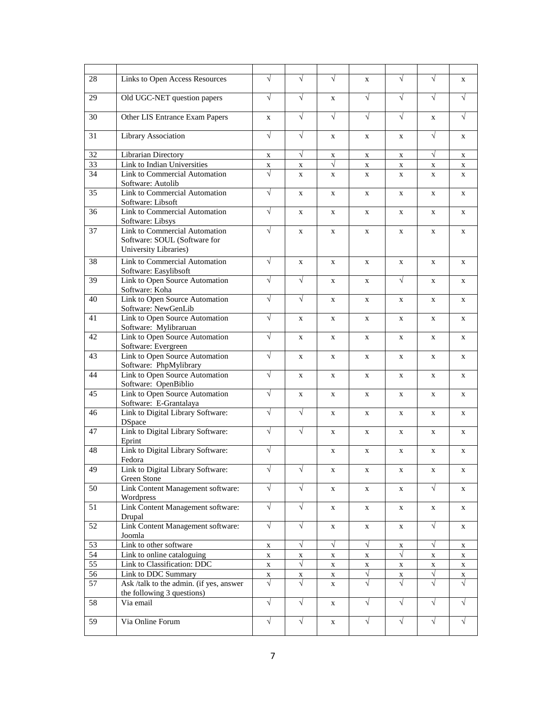| 28              | Links to Open Access Resources                                                         | $\sqrt{}$   | $\sqrt{ }$   | $\sqrt{ }$   | X            | $\sqrt{ }$ | $\sqrt{ }$  | X           |
|-----------------|----------------------------------------------------------------------------------------|-------------|--------------|--------------|--------------|------------|-------------|-------------|
| 29              | Old UGC-NET question papers                                                            | $\sqrt{ }$  | $\sqrt{}$    | X            | $\sqrt{ }$   | $\sqrt{ }$ | $\sqrt{ }$  | $\sqrt{ }$  |
| 30              | Other LIS Entrance Exam Papers                                                         | $\mathbf X$ | $\sqrt{ }$   | $\sqrt{ }$   | $\sqrt{ }$   | $\sqrt{ }$ | $\mathbf X$ | $\sqrt{ }$  |
| 31              | Library Association                                                                    | $\sqrt{ }$  | $\sqrt{}$    | $\mathbf X$  | X            | X          | $\sqrt{}$   | X           |
| 32              | <b>Librarian Directory</b>                                                             | $\mathbf X$ | $\sqrt{}$    | X            | X            | X          | $\sqrt{ }$  | X           |
| $\overline{33}$ | Link to Indian Universities                                                            | $\mathbf X$ | $\mathbf X$  | $\sqrt{}$    | $\mathbf X$  | X          | $\mathbf X$ | X           |
| 34              | Link to Commercial Automation<br>Software: Autolib                                     | $\sqrt{ }$  | X            | $\mathbf{X}$ | $\mathbf{x}$ | X          | X           | X           |
| 35              | Link to Commercial Automation<br>Software: Libsoft                                     | $\sqrt{ }$  | X            | $\mathbf{X}$ | X            | X          | X           | X           |
| 36              | Link to Commercial Automation<br>Software: Libsys                                      | $\sqrt{}$   | $\mathbf X$  | $\mathbf X$  | X            | X          | X           | X           |
| 37              | Link to Commercial Automation<br>Software: SOUL (Software for<br>University Libraries) | $\sqrt{}$   | $\mathbf X$  | $\mathbf X$  | X            | X          | $\mathbf X$ | X           |
| 38              | Link to Commercial Automation<br>Software: Easylibsoft                                 | $\sqrt{ }$  | $\mathbf X$  | $\mathbf X$  | X            | X          | $\mathbf X$ | X           |
| 39              | Link to Open Source Automation<br>Software: Koha                                       | $\sqrt{ }$  | $\sqrt{ }$   | X            | X            | $\sqrt{}$  | X           | X           |
| 40              | Link to Open Source Automation<br>Software: NewGenLib                                  | $\sqrt{}$   | $\sqrt{}$    | X            | X            | X          | X           | X           |
| 41              | Link to Open Source Automation<br>Software: Mylibraruan                                | $\sqrt{ }$  | X            | $\mathbf{X}$ | $\mathbf{x}$ | X          | X           | X           |
| 42              | Link to Open Source Automation<br>Software: Evergreen                                  | $\sqrt{ }$  | $\mathbf{X}$ | $\mathbf{X}$ | X            | X          | X           | X           |
| 43              | Link to Open Source Automation<br>Software: PhpMylibrary                               | $\sqrt{ }$  | X            | X            | X            | X          | X           | X           |
| 44              | Link to Open Source Automation<br>Software: OpenBiblio                                 | $\sqrt{}$   | X            | $\mathbf X$  | X            | X          | $\mathbf X$ | X           |
| 45              | Link to Open Source Automation<br>Software: E-Grantalaya                               | $\sqrt{}$   | $\mathbf X$  | $\mathbf X$  | X            | X          | X           | X           |
| 46              | Link to Digital Library Software:<br><b>DSpace</b>                                     | $\sqrt{}$   | $\sqrt{}$    | $\mathbf X$  | X            | X          | X           | X           |
| 47              | Link to Digital Library Software:<br>Eprint                                            | $\sqrt{ }$  | $\sqrt{ }$   | $\mathbf X$  | X            | X          | X           | X           |
| 48              | Link to Digital Library Software:<br>Fedora                                            | $\sqrt{}$   |              | X            | X            | X          | X           | X           |
| 49              | Link to Digital Library Software:<br>Green Stone                                       | V           | $\sqrt{}$    | X            | X            | X          | $\mathbf X$ | X           |
| 50              | Link Content Management software:<br>Wordpress                                         | $\sqrt{ }$  | $\sqrt{ }$   | X            | X            | X          | $\sqrt{ }$  | X           |
| 51              | Link Content Management software:<br>Drupal                                            | $\sqrt{}$   | $\sqrt{ }$   | X            | X            | X          | X           | X           |
| 52              | Link Content Management software:<br>Joomla                                            | $\sqrt{}$   | $\sqrt{}$    | $\mathbf X$  | X            | X          | $\sqrt{}$   | X           |
| 53              | Link to other software                                                                 | $\mathbf X$ | $\sqrt{ }$   | $\sqrt{ }$   | $\sqrt{ }$   | X          | $\sqrt{}$   | X           |
| 54              | Link to online cataloguing                                                             | $\mathbf X$ | $\mathbf X$  | X            | $\mathbf X$  | $\sqrt{ }$ | X           | X           |
| $\overline{55}$ | Link to Classification: DDC                                                            | $\mathbf X$ | $\sqrt{ }$   | X            | X            | X          | X           | $\mathbf X$ |
| 56              | Link to DDC Summary                                                                    | X           | X            | X            | $\sqrt{}$    | X          | $\sqrt{}$   | X           |
| 57              | Ask /talk to the admin. (if yes, answer<br>the following 3 questions)                  | $\sqrt{}$   | $\sqrt{2}$   | X            | $\sqrt{}$    | $\sqrt{}$  | $\sqrt{}$   | $\sqrt{ }$  |
| 58              | Via email                                                                              | $\sqrt{}$   | $\sqrt{ }$   | X            | $\sqrt{2}$   | $\sqrt{2}$ | $\sqrt{ }$  | $\sqrt{ }$  |
| 59              | Via Online Forum                                                                       | $\sqrt{}$   | $\sqrt{}$    | X            | $\sqrt{ }$   | $\sqrt{}$  | $\sqrt{}$   | $\sqrt{ }$  |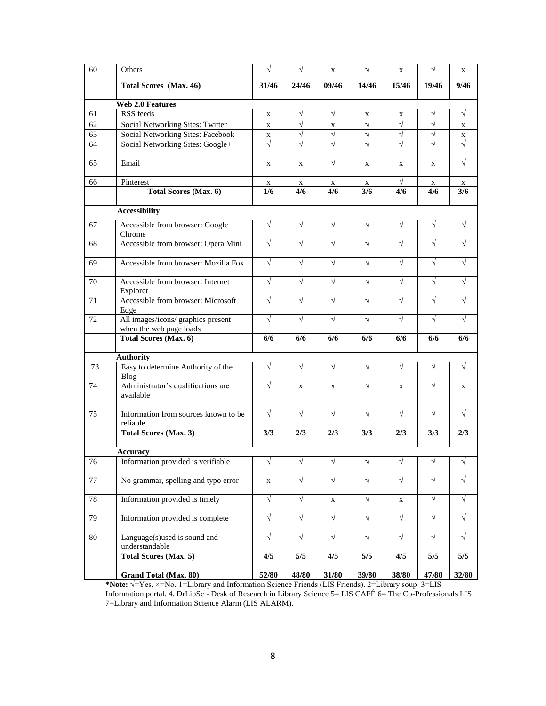| 60 | Others                                                        | $\sqrt{}$    | $\sqrt{}$    | $\mathbf X$ | $\sqrt{ }$  | X            | $\sqrt{ }$  | X                     |
|----|---------------------------------------------------------------|--------------|--------------|-------------|-------------|--------------|-------------|-----------------------|
|    | Total Scores (Max. 46)                                        | 31/46        | 24/46        | 09/46       | 14/46       | 15/46        | 19/46       | 9/46                  |
|    | <b>Web 2.0 Features</b>                                       |              |              |             |             |              |             |                       |
| 61 | RSS feeds                                                     | $\mathbf{X}$ | $\sqrt{}$    | $\sqrt{ }$  | X           | X            | $\sqrt{}$   | $\sqrt{ }$            |
| 62 | Social Networking Sites: Twitter                              | $\mathbf{X}$ | $\sqrt{}$    | $\mathbf X$ | $\sqrt{ }$  | $\sqrt{ }$   | $\sqrt{}$   | X                     |
| 63 | Social Networking Sites: Facebook                             | X            | $\sqrt{}$    | $\sqrt{}$   | $\sqrt{}$   | $\sqrt{}$    | $\sqrt{2}$  | $\mathbf{X}$          |
| 64 | Social Networking Sites: Google+                              | $\sqrt{}$    | $\sqrt{ }$   |             | $\sqrt{ }$  | $\sqrt{ }$   | $\sqrt{ }$  | $\overline{\sqrt{2}}$ |
| 65 | Email                                                         | $\mathbf{X}$ | $\mathbf{X}$ | $\sqrt{ }$  | $\mathbf X$ | $\mathbf{X}$ | $\mathbf x$ | $\sqrt{ }$            |
| 66 | Pinterest                                                     | X            | X            | X           | X           | V            | X           | X                     |
|    | <b>Total Scores (Max. 6)</b>                                  | 1/6          | 4/6          | 4/6         | 3/6         | 4/6          | 4/6         | 3/6                   |
|    | <b>Accessibility</b>                                          |              |              |             |             |              |             |                       |
| 67 | Accessible from browser: Google<br>Chrome                     | $\sqrt{}$    | $\sqrt{}$    | $\sqrt{ }$  | $\sqrt{ }$  | $\sqrt{}$    | $\sqrt{}$   | $\sqrt{}$             |
| 68 | Accessible from browser: Opera Mini                           | $\sqrt{}$    | $\sqrt{ }$   | $\sqrt{ }$  | $\sqrt{ }$  | $\sqrt{ }$   | $\sqrt{}$   | $\sqrt{}$             |
| 69 | Accessible from browser: Mozilla Fox                          | $\sqrt{}$    | $\sqrt{}$    | $\sqrt{ }$  | $\sqrt{ }$  | $\sqrt{}$    | $\sqrt{}$   | $\sqrt{}$             |
| 70 | Accessible from browser: Internet<br>Explorer                 | $\sqrt{ }$   | $\sqrt{ }$   | $\sqrt{ }$  | $\sqrt{ }$  | $\sqrt{}$    | $\sqrt{}$   | $\sqrt{ }$            |
| 71 | Accessible from browser: Microsoft<br>Edge                    | $\sqrt{ }$   | $\sqrt{ }$   | $\sqrt{ }$  | $\sqrt{ }$  | $\sqrt{}$    | $\sqrt{ }$  | $\sqrt{ }$            |
| 72 | All images/icons/ graphics present<br>when the web page loads | $\sqrt{ }$   | $\sqrt{}$    | $\sqrt{ }$  | $\sqrt{ }$  | $\sqrt{}$    | $\sqrt{}$   | $\sqrt{}$             |
|    | <b>Total Scores (Max. 6)</b>                                  | 6/6          | 6/6          | 6/6         | 6/6         | 6/6          | 6/6         | 6/6                   |
|    | <b>Authority</b>                                              |              |              |             |             |              |             |                       |
| 73 | Easy to determine Authority of the<br>Blog                    | $\sqrt{ }$   | $\sqrt{ }$   | $\sqrt{ }$  | $\sqrt{ }$  | $\sqrt{}$    | $\sqrt{}$   | $\sqrt{ }$            |
| 74 | Administrator's qualifications are<br>available               | $\sqrt{}$    | X            | X           | $\sqrt{ }$  | X            | $\sqrt{}$   | X                     |
| 75 | Information from sources known to be<br>reliable              | $\sqrt{}$    | $\sqrt{}$    | $\sqrt{}$   | $\sqrt{ }$  | $\sqrt{}$    | $\sqrt{ }$  | $\sqrt{ }$            |
|    | <b>Total Scores (Max. 3)</b>                                  | 3/3          | 2/3          | 2/3         | 3/3         | 2/3          | 3/3         | 2/3                   |
|    | Accuracy                                                      |              |              |             |             |              |             |                       |
| 76 | Information provided is verifiable                            | $\sqrt{}$    |              | $\sqrt{}$   | $\sqrt{}$   | V            | $\sqrt{}$   | $\sqrt{ }$            |
| 77 | No grammar, spelling and typo error                           | $\mathbf{X}$ | $\sqrt{}$    | $\sqrt{}$   | $\sqrt{}$   | $\sqrt{}$    | $\sqrt{}$   | $\sqrt{ }$            |
| 78 | Information provided is timely                                | $\sqrt{}$    | $\sqrt{ }$   | X           | $\sqrt{ }$  | X            | $\sqrt{ }$  | $\sqrt{ }$            |
| 79 | Information provided is complete                              | $\sqrt{}$    | $\sqrt{}$    | $\sqrt{}$   | $\sqrt{ }$  | $\sqrt{}$    | $\sqrt{}$   | $\sqrt{ }$            |
| 80 | Language(s)used is sound and<br>understandable                | $\sqrt{}$    | $\sqrt{2}$   | $\sqrt{}$   | $\sqrt{ }$  | $\sqrt{}$    | $\sqrt{ }$  | $\sqrt{ }$            |
|    | <b>Total Scores (Max. 5)</b>                                  | 4/5          | 5/5          | 4/5         | 5/5         | 4/5          | 5/5         | 5/5                   |
|    | Grand Total (Max. 80)                                         | 52/80        | 48/80        | 31/80       | 39/80       | 38/80        | 47/80       | 32/80                 |

**\*Note:** √=Yes, ×=No. 1=Library and Information Science Friends (LIS Friends). 2=Library soup. 3=LIS Information portal. 4. DrLibSc - Desk of Research in Library Science 5= LIS CAFÉ 6= The Co-Professionals LIS 7=Library and Information Science Alarm (LIS ALARM).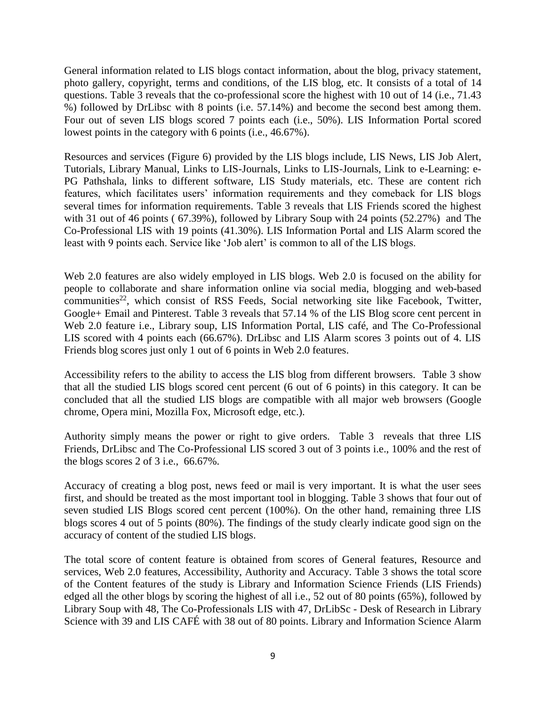General information related to LIS blogs contact information, about the blog, privacy statement, photo gallery, copyright, terms and conditions, of the LIS blog, etc. It consists of a total of 14 questions. Table 3 reveals that the co-professional score the highest with 10 out of 14 (i.e., 71.43 %) followed by DrLibsc with 8 points (i.e. 57.14%) and become the second best among them. Four out of seven LIS blogs scored 7 points each (i.e., 50%). LIS Information Portal scored lowest points in the category with 6 points (i.e., 46.67%).

Resources and services (Figure 6) provided by the LIS blogs include, LIS News, LIS Job Alert, Tutorials, Library Manual, Links to LIS-Journals, Links to LIS-Journals, Link to e-Learning: e-PG Pathshala, links to different software, LIS Study materials, etc. These are content rich features, which facilitates users' information requirements and they comeback for LIS blogs several times for information requirements. Table 3 reveals that LIS Friends scored the highest with 31 out of 46 points ( 67.39%), followed by Library Soup with 24 points (52.27%) and The Co-Professional LIS with 19 points (41.30%). LIS Information Portal and LIS Alarm scored the least with 9 points each. Service like 'Job alert' is common to all of the LIS blogs.

Web 2.0 features are also widely employed in LIS blogs. Web 2.0 is focused on the ability for people to collaborate and share information online via social media, blogging and web-based communities<sup>22</sup>, which consist of RSS Feeds, Social networking site like Facebook, Twitter, Google+ Email and Pinterest. Table 3 reveals that 57.14 % of the LIS Blog score cent percent in Web 2.0 feature i.e., Library soup, LIS Information Portal, LIS café, and The Co-Professional LIS scored with 4 points each (66.67%). DrLibsc and LIS Alarm scores 3 points out of 4. LIS Friends blog scores just only 1 out of 6 points in Web 2.0 features.

Accessibility refers to the ability to access the LIS blog from different browsers. Table 3 show that all the studied LIS blogs scored cent percent (6 out of 6 points) in this category. It can be concluded that all the studied LIS blogs are compatible with all major web browsers (Google chrome, Opera mini, Mozilla Fox, Microsoft edge, etc.).

Authority simply means the power or right to give orders. Table 3 reveals that three LIS Friends, DrLibsc and The Co-Professional LIS scored 3 out of 3 points i.e., 100% and the rest of the blogs scores 2 of 3 i.e., 66.67%.

Accuracy of creating a blog post, news feed or mail is very important. It is what the user sees first, and should be treated as the most important tool in blogging. Table 3 shows that four out of seven studied LIS Blogs scored cent percent (100%). On the other hand, remaining three LIS blogs scores 4 out of 5 points (80%). The findings of the study clearly indicate good sign on the accuracy of content of the studied LIS blogs.

The total score of content feature is obtained from scores of General features, Resource and services, Web 2.0 features, Accessibility, Authority and Accuracy. Table 3 shows the total score of the Content features of the study is Library and Information Science Friends (LIS Friends) edged all the other blogs by scoring the highest of all i.e., 52 out of 80 points (65%), followed by Library Soup with 48, The Co-Professionals LIS with 47, DrLibSc - Desk of Research in Library Science with 39 and LIS CAFÉ with 38 out of 80 points. Library and Information Science Alarm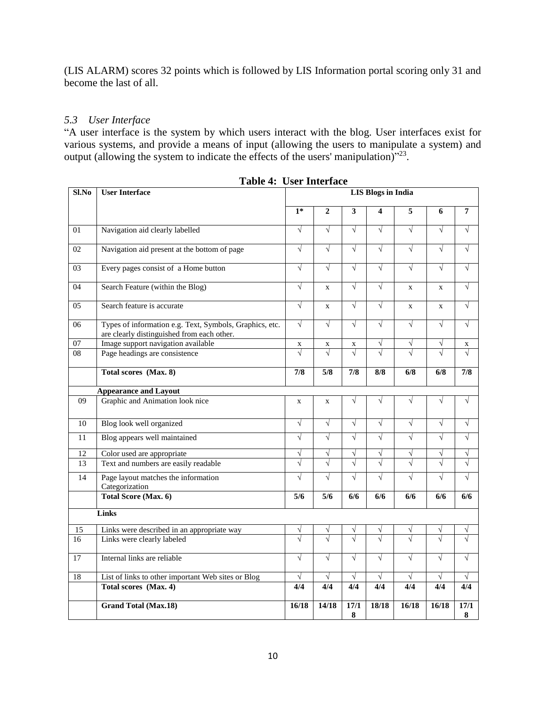(LIS ALARM) scores 32 points which is followed by LIS Information portal scoring only 31 and become the last of all.

## *5.3 User Interface*

"A user interface is the system by which users interact with the blog. User interfaces exist for various systems, and provide a means of input (allowing the users to manipulate a system) and output (allowing the system to indicate the effects of the users' manipulation) $v^{23}$ .

| Sl.No           | Ober mitter hutt<br><b>User Interface</b>                                                             | <b>LIS Blogs in India</b> |                                        |                        |            |                |             |                        |
|-----------------|-------------------------------------------------------------------------------------------------------|---------------------------|----------------------------------------|------------------------|------------|----------------|-------------|------------------------|
|                 |                                                                                                       | $1*$                      | $\overline{2}$                         | 3                      | 4          | $\overline{5}$ | 6           | $7\phantom{.0}$        |
| 01              | Navigation aid clearly labelled                                                                       | $\sqrt{}$                 | $\sqrt{}$                              | $\sqrt{ }$             | $\sqrt{}$  | $\sqrt{}$      | $\sqrt{}$   | $\sqrt{ }$             |
| 02              | Navigation aid present at the bottom of page                                                          | $\sqrt{}$                 | $\sqrt{}$                              | $\sqrt{}$              | $\sqrt{}$  | $\sqrt{}$      | $\sqrt{}$   | $\sqrt{}$              |
| 03              | Every pages consist of a Home button                                                                  | $\sqrt{}$                 | $\sqrt{ }$                             | $\sqrt{ }$             | $\sqrt{ }$ | $\sqrt{}$      | $\sqrt{ }$  | $\sqrt{}$              |
| $\overline{04}$ | Search Feature (within the Blog)                                                                      | $\sqrt{}$                 | $\mathbf{x}$                           | $\sqrt{}$              | $\sqrt{ }$ | $\mathbf X$    | $\mathbf X$ | $\sqrt{ }$             |
| $\overline{05}$ | Search feature is accurate                                                                            | $\sqrt{}$                 | $\mathbf X$                            | $\sqrt{}$              | $\sqrt{ }$ | $\mathbf X$    | $\mathbf X$ | $\sqrt{ }$             |
| 06              | Types of information e.g. Text, Symbols, Graphics, etc.<br>are clearly distinguished from each other. | $\sqrt{}$                 | $\sqrt{}$                              | $\sqrt{}$              | $\sqrt{}$  | $\sqrt{}$      | $\sqrt{}$   | $\sqrt{}$              |
| $\overline{07}$ | Image support navigation available                                                                    | X                         | X                                      | X                      | V          | $\sqrt{}$      | $\sqrt{}$   | X                      |
| 08              | Page headings are consistence                                                                         | $\sqrt{}$                 | $\sqrt{}$                              | $\sqrt{}$              |            |                |             | $\sqrt{}$              |
|                 | Total scores (Max. 8)                                                                                 | 7/8                       | $\overline{\overline{\overline{5}/8}}$ | 7/8                    | 8/8        | 6/8            | 6/8         | 7/8                    |
|                 | <b>Appearance and Layout</b>                                                                          |                           |                                        |                        |            |                |             |                        |
| 09              | Graphic and Animation look nice                                                                       | $\mathbf{x}$              | $\mathbf X$                            | $\sqrt{}$              | $\sqrt{}$  | $\sqrt{}$      | $\sqrt{}$   | V                      |
| 10              | Blog look well organized                                                                              | $\sqrt{}$                 | $\sqrt{}$                              | $\sqrt{}$              | $\sqrt{}$  | $\sqrt{}$      | $\sqrt{}$   | $\sqrt{}$              |
| 11              | Blog appears well maintained                                                                          | $\sqrt{}$                 | $\sqrt{}$                              | $\sqrt{}$              | $\sqrt{}$  | $\sqrt{}$      | $\sqrt{}$   | $\sqrt{ }$             |
| 12              | Color used are appropriate                                                                            | V                         | V                                      | V                      | V          | $\sqrt{}$      | V           | $\sqrt{}$              |
| 13              | Text and numbers are easily readable                                                                  | $\sqrt{}$                 |                                        |                        |            | $\sqrt{}$      |             |                        |
| 14              | Page layout matches the information<br>Categorization                                                 | $\sqrt{}$                 | $\sqrt{}$                              | $\sqrt{}$              | $\sqrt{}$  | $\sqrt{}$      | $\sqrt{}$   | $\sqrt{}$              |
|                 | Total Score (Max. 6)                                                                                  | 5/6                       | 5/6                                    | 6/6                    | 6/6        | 6/6            | 6/6         | 6/6                    |
|                 | Links                                                                                                 |                           |                                        |                        |            |                |             |                        |
| 15              | Links were described in an appropriate way                                                            | V                         |                                        |                        |            |                | V           | ν                      |
| 16              | Links were clearly labeled                                                                            |                           |                                        |                        |            |                |             |                        |
| 17              | Internal links are reliable                                                                           | $\sqrt{}$                 | $\sqrt{}$                              | $\sqrt{}$              | $\sqrt{}$  | $\sqrt{}$      | $\sqrt{ }$  | $\sqrt{}$              |
| 18              | List of links to other important Web sites or Blog                                                    | $\sqrt{}$                 | $\sqrt{ }$                             | $\sqrt{}$              | $\sqrt{}$  |                | $\sqrt{ }$  | $\sqrt{ }$             |
|                 | Total scores (Max. 4)                                                                                 | 4/4                       | 4/4                                    | 4/4                    | 4/4        | 4/4            | 4/4         | 4/4                    |
|                 | <b>Grand Total (Max.18)</b>                                                                           | 16/18                     | 14/18                                  | $\overline{17/1}$<br>8 | 18/18      | 16/18          | 16/18       | $\overline{17/1}$<br>8 |

**Table 4: User Interface**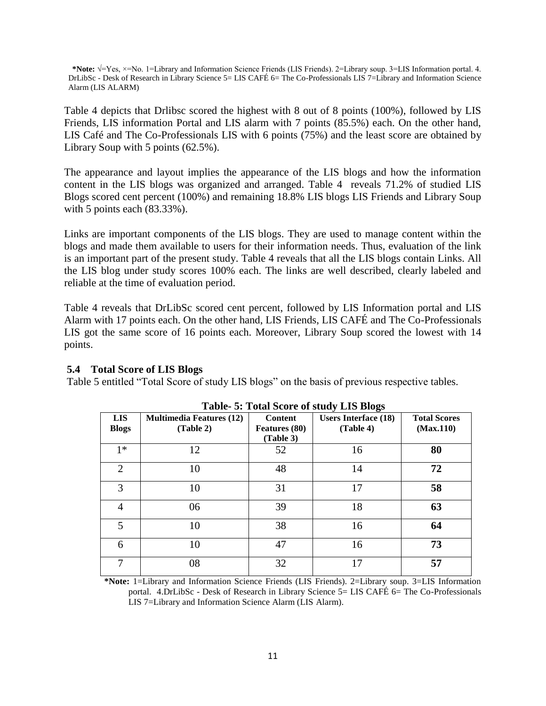**\*Note:** √=Yes, ×=No. 1=Library and Information Science Friends (LIS Friends). 2=Library soup. 3=LIS Information portal. 4. DrLibSc - Desk of Research in Library Science 5= LIS CAFÉ 6= The Co-Professionals LIS 7=Library and Information Science Alarm (LIS ALARM)

Table 4 depicts that Drlibsc scored the highest with 8 out of 8 points (100%), followed by LIS Friends, LIS information Portal and LIS alarm with 7 points (85.5%) each. On the other hand, LIS Café and The Co-Professionals LIS with 6 points (75%) and the least score are obtained by Library Soup with 5 points (62.5%).

The appearance and layout implies the appearance of the LIS blogs and how the information content in the LIS blogs was organized and arranged. Table 4 reveals 71.2% of studied LIS Blogs scored cent percent (100%) and remaining 18.8% LIS blogs LIS Friends and Library Soup with 5 points each (83.33%).

Links are important components of the LIS blogs. They are used to manage content within the blogs and made them available to users for their information needs. Thus, evaluation of the link is an important part of the present study. Table 4 reveals that all the LIS blogs contain Links. All the LIS blog under study scores 100% each. The links are well described, clearly labeled and reliable at the time of evaluation period.

Table 4 reveals that DrLibSc scored cent percent, followed by LIS Information portal and LIS Alarm with 17 points each. On the other hand, LIS Friends, LIS CAFÉ and The Co-Professionals LIS got the same score of 16 points each. Moreover, Library Soup scored the lowest with 14 points.

### **5.4 Total Score of LIS Blogs**

Table 5 entitled "Total Score of study LIS blogs" on the basis of previous respective tables.

| <b>LIS</b><br><b>Blogs</b> | <b>Multimedia Features (12)</b><br>(Table 2) | <b>Content</b><br><b>Features</b> (80)<br>(Table 3) | <b>Users Interface (18)</b><br>(Table 4) | <b>Total Scores</b><br>(Max.110) |
|----------------------------|----------------------------------------------|-----------------------------------------------------|------------------------------------------|----------------------------------|
| $1*$                       | 12                                           | 52                                                  | 16                                       | 80                               |
| $\overline{2}$             | 10                                           | 48                                                  | 14                                       | 72                               |
| 3                          | 10                                           | 31                                                  | 17                                       | 58                               |
| 4                          | 06                                           | 39                                                  | 18                                       | 63                               |
| 5                          | 10                                           | 38                                                  | 16                                       | 64                               |
| 6                          | 10                                           | 47                                                  | 16                                       | 73                               |
| 7                          | 08                                           | 32                                                  | 17                                       | 57                               |

**\*Note:** 1=Library and Information Science Friends (LIS Friends). 2=Library soup. 3=LIS Information portal. 4.DrLibSc - Desk of Research in Library Science 5= LIS CAFÉ 6= The Co-Professionals LIS 7=Library and Information Science Alarm (LIS Alarm).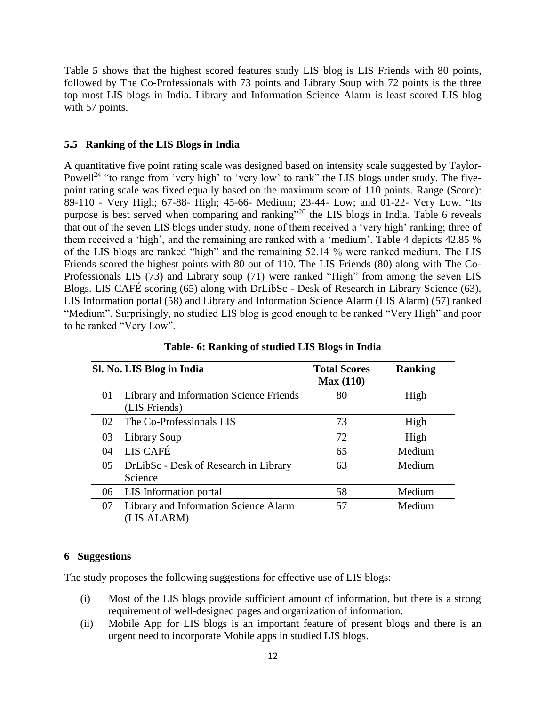Table 5 shows that the highest scored features study LIS blog is LIS Friends with 80 points, followed by The Co-Professionals with 73 points and Library Soup with 72 points is the three top most LIS blogs in India. Library and Information Science Alarm is least scored LIS blog with 57 points.

#### **5.5 Ranking of the LIS Blogs in India**

A quantitative five point rating scale was designed based on intensity scale suggested by Taylor-Powell<sup>24</sup> "to range from 'very high' to 'very low' to rank" the LIS blogs under study. The fivepoint rating scale was fixed equally based on the maximum score of 110 points. Range (Score): 89-110 - Very High; 67-88- High; 45-66- Medium; 23-44- Low; and 01-22- Very Low. "Its purpose is best served when comparing and ranking"<sup>20</sup> the LIS blogs in India. Table 6 reveals that out of the seven LIS blogs under study, none of them received a 'very high' ranking; three of them received a 'high', and the remaining are ranked with a 'medium'. Table 4 depicts 42.85 % of the LIS blogs are ranked "high" and the remaining 52.14 % were ranked medium. The LIS Friends scored the highest points with 80 out of 110. The LIS Friends (80) along with The Co-Professionals LIS (73) and Library soup (71) were ranked "High" from among the seven LIS Blogs. LIS CAFÉ scoring (65) along with DrLibSc - Desk of Research in Library Science (63), LIS Information portal (58) and Library and Information Science Alarm (LIS Alarm) (57) ranked "Medium". Surprisingly, no studied LIS blog is good enough to be ranked "Very High" and poor to be ranked "Very Low".

|    | Sl. No. LIS Blog in India                                | <b>Total Scores</b><br>Max(110) | <b>Ranking</b> |
|----|----------------------------------------------------------|---------------------------------|----------------|
| 01 | Library and Information Science Friends<br>(LIS Friends) | 80                              | High           |
| 02 | The Co-Professionals LIS                                 | 73                              | High           |
| 03 | Library Soup                                             | 72                              | High           |
| 04 | LIS CAFÉ                                                 | 65                              | Medium         |
| 05 | DrLibSc - Desk of Research in Library<br>Science         | 63                              | Medium         |
| 06 | LIS Information portal                                   | 58                              | Medium         |
| 07 | Library and Information Science Alarm<br>(LIS ALARM)     | 57                              | Medium         |

**Table- 6: Ranking of studied LIS Blogs in India**

### **6 Suggestions**

The study proposes the following suggestions for effective use of LIS blogs:

- (i) Most of the LIS blogs provide sufficient amount of information, but there is a strong requirement of well-designed pages and organization of information.
- (ii) Mobile App for LIS blogs is an important feature of present blogs and there is an urgent need to incorporate Mobile apps in studied LIS blogs.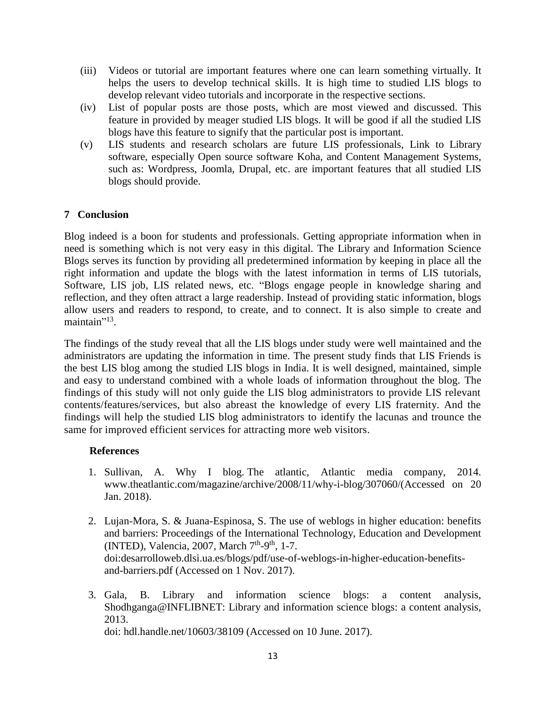- (iii) Videos or tutorial are important features where one can learn something virtually. It helps the users to develop technical skills. It is high time to studied LIS blogs to develop relevant video tutorials and incorporate in the respective sections.
- (iv) List of popular posts are those posts, which are most viewed and discussed. This feature in provided by meager studied LIS blogs. It will be good if all the studied LIS blogs have this feature to signify that the particular post is important.
- (v) LIS students and research scholars are future LIS professionals, Link to Library software, especially Open source software Koha, and Content Management Systems, such as: Wordpress, Joomla, Drupal, etc. are important features that all studied LIS blogs should provide.

## **7 Conclusion**

Blog indeed is a boon for students and professionals. Getting appropriate information when in need is something which is not very easy in this digital. The Library and Information Science Blogs serves its function by providing all predetermined information by keeping in place all the right information and update the blogs with the latest information in terms of LIS tutorials, Software, LIS job, LIS related news, etc. "Blogs engage people in knowledge sharing and reflection, and they often attract a large readership. Instead of providing static information, blogs allow users and readers to respond, to create, and to connect. It is also simple to create and maintain"<sup>13</sup>.

The findings of the study reveal that all the LIS blogs under study were well maintained and the administrators are updating the information in time. The present study finds that LIS Friends is the best LIS blog among the studied LIS blogs in India. It is well designed, maintained, simple and easy to understand combined with a whole loads of information throughout the blog. The findings of this study will not only guide the LIS blog administrators to provide LIS relevant contents/features/services, but also abreast the knowledge of every LIS fraternity. And the findings will help the studied LIS blog administrators to identify the lacunas and trounce the same for improved efficient services for attracting more web visitors.

### **References**

- 1. Sullivan, A. Why I blog. The atlantic, Atlantic media company, 2014. www.theatlantic.com/magazine/archive/2008/11/why-i-blog/307060/(Accessed on 20 Jan. 2018).
- 2. Lujan-Mora, S. & Juana-Espinosa, S. The use of weblogs in higher education: benefits and barriers: Proceedings of the International Technology, Education and Development (INTED), Valencia, 2007, March 7<sup>th</sup>-9<sup>th</sup>, 1-7. doi:desarrolloweb.dlsi.ua.es/blogs/pdf/use-of-weblogs-in-higher-education-benefitsand-barriers.pdf (Accessed on 1 Nov. 2017).
- 3. Gala, B. Library and information science blogs: a content analysis, Shodhganga@INFLIBNET: Library and information science blogs: a content analysis, 2013.

doi: hdl.handle.net/10603/38109 (Accessed on 10 June. 2017).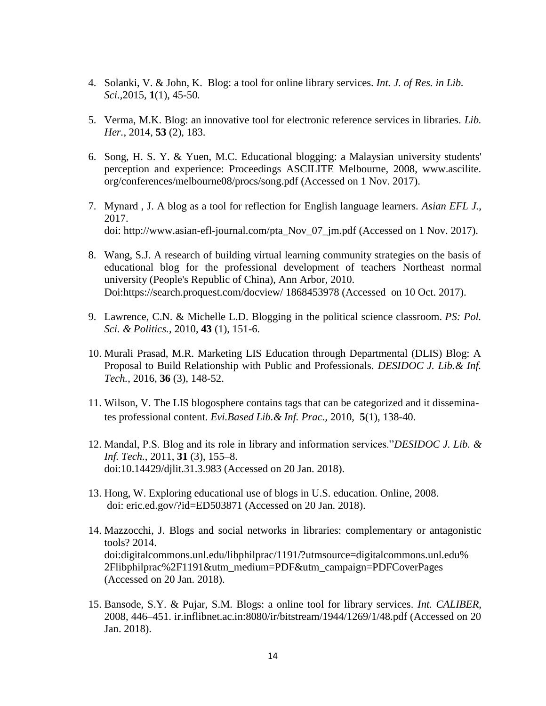- 4. Solanki, V. & John, K. Blog: a tool for online library services. *Int. J. of Res. in Lib. Sci.,*2015*,* **1**(1), 45-50*.*
- 5. Verma, M.K. Blog: an innovative tool for electronic reference services in libraries. *Lib. Her.*, 2014, **53** (2), 183.
- 6. Song, H. S. Y. & Yuen, M.C. Educational blogging: a Malaysian university students' perception and experience: Proceedings ASCILITE Melbourne, 2008, www.ascilite. org/conferences/melbourne08/procs/song.pdf (Accessed on 1 Nov. 2017).
- 7. Mynard , J. A blog as a tool for reflection for English language learners. *Asian EFL J.*, 2017. doi: http://www.asian-efl-journal.com/pta\_Nov\_07\_jm.pdf (Accessed on 1 Nov. 2017).
- 8. Wang, S.J. A research of building virtual learning community strategies on the basis of educational blog for the professional development of teachers Northeast normal university (People's Republic of China), Ann Arbor, 2010. Doi:https://search.proquest.com/docview/ 1868453978 (Accessed on 10 Oct. 2017).
- 9. Lawrence, C.N. & Michelle L.D. Blogging in the political science classroom. *PS: Pol. Sci. & Politics.,* 2010, **43** (1), 151-6.
- 10. Murali Prasad, M.R. Marketing LIS Education through Departmental (DLIS) Blog: A Proposal to Build Relationship with Public and Professionals. *DESIDOC J. Lib.& Inf. Tech.*, 2016, **36** (3), 148-52.
- 11. Wilson, V. The LIS blogosphere contains tags that can be categorized and it disseminates professional content. *Evi.Based Lib.& Inf. Prac.,* 2010, **5**(1), 138-40.
- 12. Mandal, P.S. Blog and its role in library and information services."*DESIDOC J. Lib. & Inf. Tech.*, 2011, **31** (3), 155–8. doi:10.14429/djlit.31.3.983 (Accessed on 20 Jan. 2018).
- 13. Hong, W. Exploring educational use of blogs in U.S. education. Online, 2008. doi: eric.ed.gov/?id=ED503871 (Accessed on 20 Jan. 2018).
- 14. Mazzocchi, J. Blogs and social networks in libraries: complementary or antagonistic tools? 2014. doi:digitalcommons.unl.edu/libphilprac/1191/?utmsource=digitalcommons.unl.edu% 2Flibphilprac%2F1191&utm\_medium=PDF&utm\_campaign=PDFCoverPages (Accessed on 20 Jan. 2018).
- 15. Bansode, S.Y. & Pujar, S.M. Blogs: a online tool for library services. *Int. CALIBER*, 2008, 446–451. ir.inflibnet.ac.in:8080/ir/bitstream/1944/1269/1/48.pdf (Accessed on 20 Jan. 2018).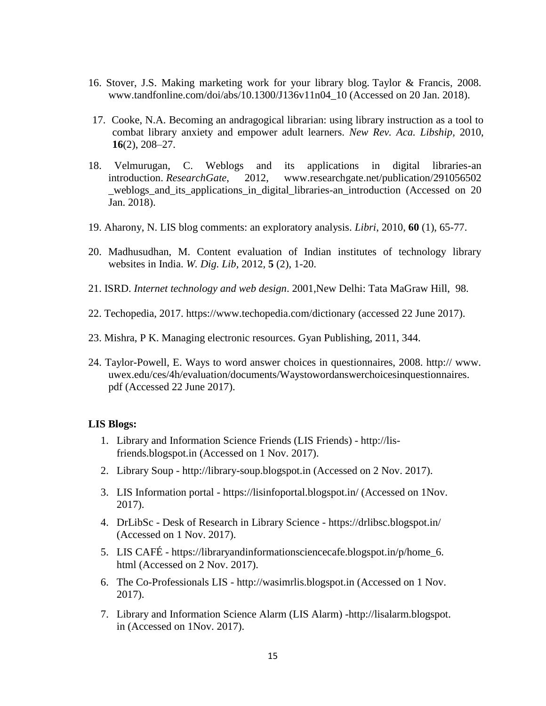- 16. Stover, J.S. Making marketing work for your library blog. Taylor & Francis, 2008. www.tandfonline.com/doi/abs/10.1300/J136v11n04\_10 (Accessed on 20 Jan. 2018).
- 17. Cooke, N.A. Becoming an andragogical librarian: using library instruction as a tool to combat library anxiety and empower adult learners. *New Rev. Aca. Libship,* 2010, **16**(2), 208–27.
- 18. Velmurugan, C. Weblogs and its applications in digital libraries-an introduction. *ResearchGate*, 2012, www.researchgate.net/publication/291056502 \_weblogs\_and\_its\_applications\_in\_digital\_libraries-an\_introduction (Accessed on 20 Jan. 2018).
- 19. Aharony, N. LIS blog comments: an exploratory analysis. *Libri*, 2010, **60** (1), 65-77.
- 20. Madhusudhan, M. Content evaluation of Indian institutes of technology library websites in India. *W. Dig. Lib,* 2012*,* **5** (2), 1-20.
- 21. ISRD. *Internet technology and web design*. 2001,New Delhi: Tata MaGraw Hill, 98.
- 22. Techopedia, 2017. https://www.techopedia.com/dictionary (accessed 22 June 2017).
- 23. Mishra, P K. Managing electronic resources. Gyan Publishing, 2011, 344.
- 24. Taylor-Powell, E. Ways to word answer choices in questionnaires, 2008. http:// www. uwex.edu/ces/4h/evaluation/documents/Waystowordanswerchoicesinquestionnaires. pdf (Accessed 22 June 2017).

#### **LIS Blogs:**

- 1. Library and Information Science Friends (LIS Friends) http://lisfriends.blogspot.in (Accessed on 1 Nov. 2017).
- 2. Library Soup http://library-soup.blogspot.in (Accessed on 2 Nov. 2017).
- 3. LIS Information portal https://lisinfoportal.blogspot.in/ (Accessed on 1Nov. 2017).
- 4. DrLibSc Desk of Research in Library Science https://drlibsc.blogspot.in/ (Accessed on 1 Nov. 2017).
- 5. LIS CAFÉ https://libraryandinformationsciencecafe.blogspot.in/p/home\_6. html (Accessed on 2 Nov. 2017).
- 6. The Co-Professionals LIS http://wasimrlis.blogspot.in (Accessed on 1 Nov. 2017).
- 7. Library and Information Science Alarm (LIS Alarm) -http://lisalarm.blogspot. in (Accessed on 1Nov. 2017).